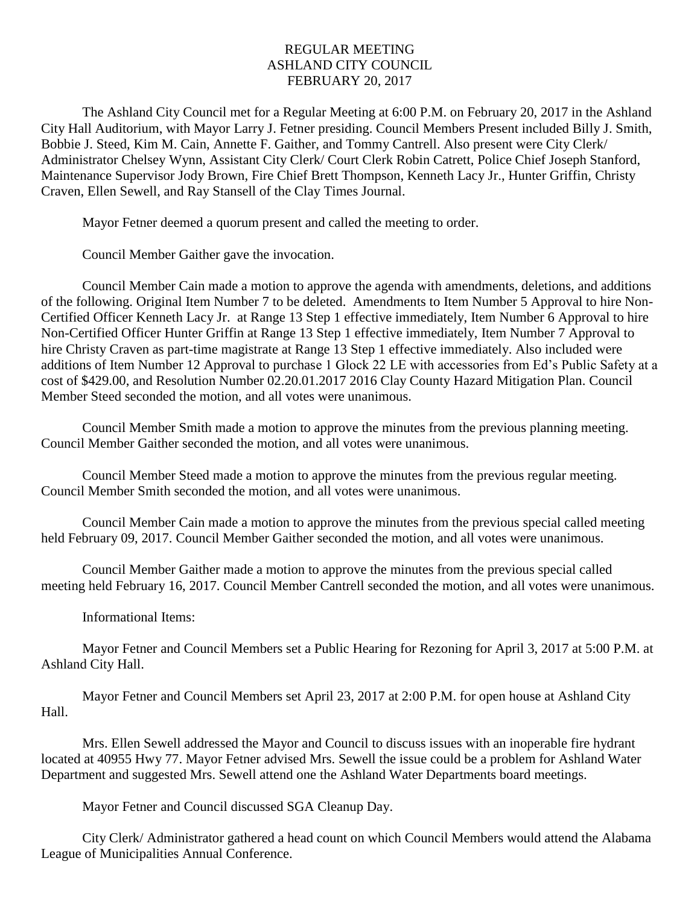## REGULAR MEETING ASHLAND CITY COUNCIL FEBRUARY 20, 2017

The Ashland City Council met for a Regular Meeting at 6:00 P.M. on February 20, 2017 in the Ashland City Hall Auditorium, with Mayor Larry J. Fetner presiding. Council Members Present included Billy J. Smith, Bobbie J. Steed, Kim M. Cain, Annette F. Gaither, and Tommy Cantrell. Also present were City Clerk/ Administrator Chelsey Wynn, Assistant City Clerk/ Court Clerk Robin Catrett, Police Chief Joseph Stanford, Maintenance Supervisor Jody Brown, Fire Chief Brett Thompson, Kenneth Lacy Jr., Hunter Griffin, Christy Craven, Ellen Sewell, and Ray Stansell of the Clay Times Journal.

Mayor Fetner deemed a quorum present and called the meeting to order.

Council Member Gaither gave the invocation.

Council Member Cain made a motion to approve the agenda with amendments, deletions, and additions of the following. Original Item Number 7 to be deleted. Amendments to Item Number 5 Approval to hire Non-Certified Officer Kenneth Lacy Jr. at Range 13 Step 1 effective immediately, Item Number 6 Approval to hire Non-Certified Officer Hunter Griffin at Range 13 Step 1 effective immediately, Item Number 7 Approval to hire Christy Craven as part-time magistrate at Range 13 Step 1 effective immediately. Also included were additions of Item Number 12 Approval to purchase 1 Glock 22 LE with accessories from Ed's Public Safety at a cost of \$429.00, and Resolution Number 02.20.01.2017 2016 Clay County Hazard Mitigation Plan. Council Member Steed seconded the motion, and all votes were unanimous.

Council Member Smith made a motion to approve the minutes from the previous planning meeting. Council Member Gaither seconded the motion, and all votes were unanimous.

Council Member Steed made a motion to approve the minutes from the previous regular meeting. Council Member Smith seconded the motion, and all votes were unanimous.

Council Member Cain made a motion to approve the minutes from the previous special called meeting held February 09, 2017. Council Member Gaither seconded the motion, and all votes were unanimous.

Council Member Gaither made a motion to approve the minutes from the previous special called meeting held February 16, 2017. Council Member Cantrell seconded the motion, and all votes were unanimous.

## Informational Items:

Mayor Fetner and Council Members set a Public Hearing for Rezoning for April 3, 2017 at 5:00 P.M. at Ashland City Hall.

Mayor Fetner and Council Members set April 23, 2017 at 2:00 P.M. for open house at Ashland City Hall.

Mrs. Ellen Sewell addressed the Mayor and Council to discuss issues with an inoperable fire hydrant located at 40955 Hwy 77. Mayor Fetner advised Mrs. Sewell the issue could be a problem for Ashland Water Department and suggested Mrs. Sewell attend one the Ashland Water Departments board meetings.

Mayor Fetner and Council discussed SGA Cleanup Day.

City Clerk/ Administrator gathered a head count on which Council Members would attend the Alabama League of Municipalities Annual Conference.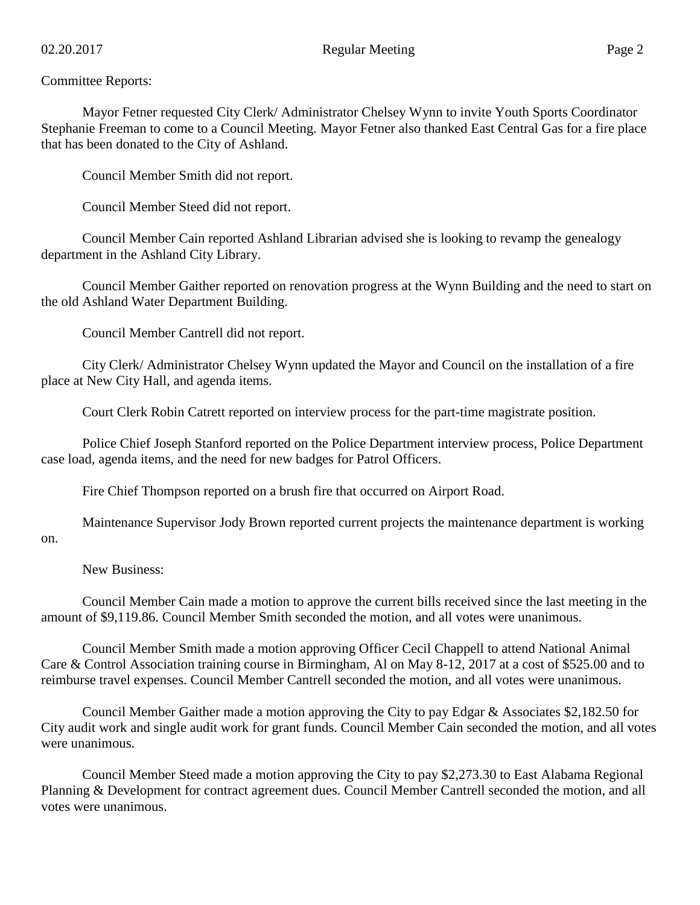## Committee Reports:

Mayor Fetner requested City Clerk/ Administrator Chelsey Wynn to invite Youth Sports Coordinator Stephanie Freeman to come to a Council Meeting. Mayor Fetner also thanked East Central Gas for a fire place that has been donated to the City of Ashland.

Council Member Smith did not report.

Council Member Steed did not report.

Council Member Cain reported Ashland Librarian advised she is looking to revamp the genealogy department in the Ashland City Library.

Council Member Gaither reported on renovation progress at the Wynn Building and the need to start on the old Ashland Water Department Building.

Council Member Cantrell did not report.

City Clerk/ Administrator Chelsey Wynn updated the Mayor and Council on the installation of a fire place at New City Hall, and agenda items.

Court Clerk Robin Catrett reported on interview process for the part-time magistrate position.

Police Chief Joseph Stanford reported on the Police Department interview process, Police Department case load, agenda items, and the need for new badges for Patrol Officers.

Fire Chief Thompson reported on a brush fire that occurred on Airport Road.

Maintenance Supervisor Jody Brown reported current projects the maintenance department is working on.

New Business:

Council Member Cain made a motion to approve the current bills received since the last meeting in the amount of \$9,119.86. Council Member Smith seconded the motion, and all votes were unanimous.

Council Member Smith made a motion approving Officer Cecil Chappell to attend National Animal Care & Control Association training course in Birmingham, Al on May 8-12, 2017 at a cost of \$525.00 and to reimburse travel expenses. Council Member Cantrell seconded the motion, and all votes were unanimous.

Council Member Gaither made a motion approving the City to pay Edgar & Associates \$2,182.50 for City audit work and single audit work for grant funds. Council Member Cain seconded the motion, and all votes were unanimous.

Council Member Steed made a motion approving the City to pay \$2,273.30 to East Alabama Regional Planning & Development for contract agreement dues. Council Member Cantrell seconded the motion, and all votes were unanimous.